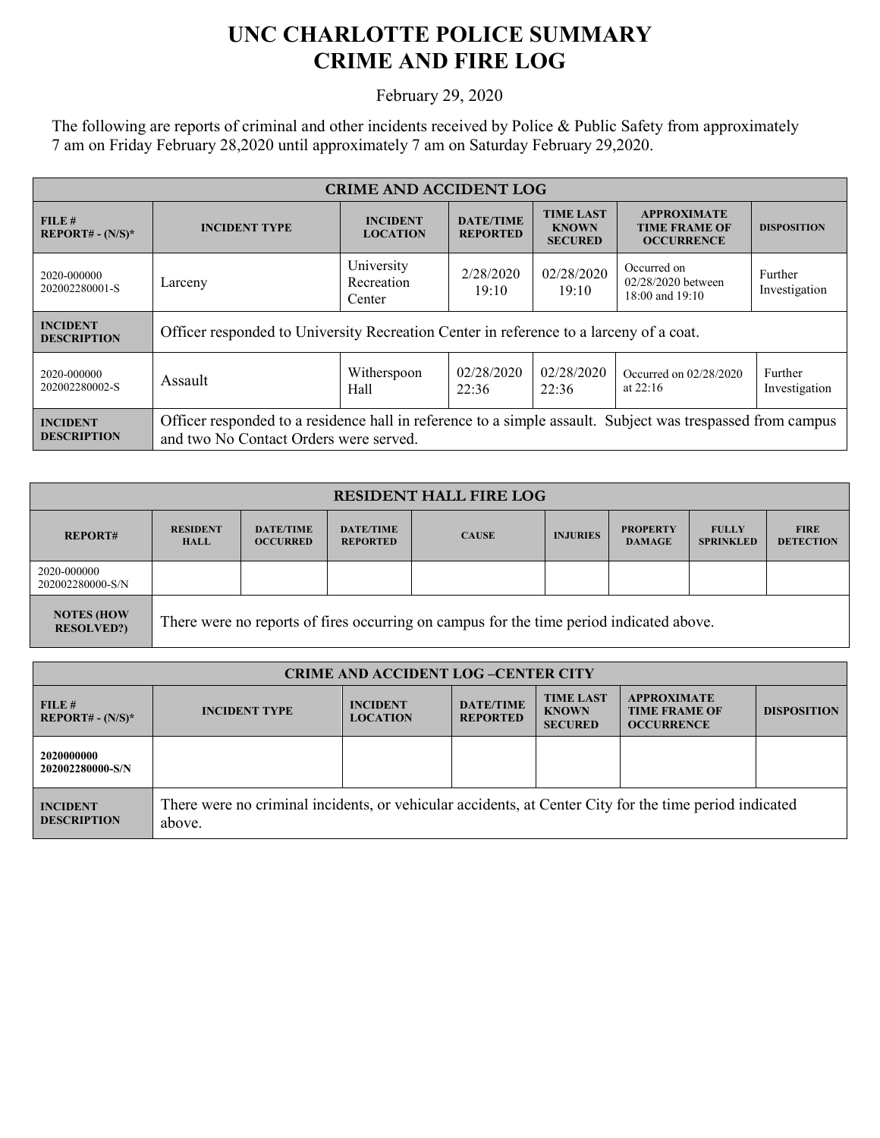## **UNC CHARLOTTE POLICE SUMMARY CRIME AND FIRE LOG**

February 29, 2020

The following are reports of criminal and other incidents received by Police & Public Safety from approximately 7 am on Friday February 28,2020 until approximately 7 am on Saturday February 29,2020.

| <b>CRIME AND ACCIDENT LOG</b>         |                                                                                                                                                      |                                    |                                     |                                                    |                                                                 |                          |  |
|---------------------------------------|------------------------------------------------------------------------------------------------------------------------------------------------------|------------------------------------|-------------------------------------|----------------------------------------------------|-----------------------------------------------------------------|--------------------------|--|
| FILE#<br><b>REPORT# - (N/S)*</b>      | <b>INCIDENT TYPE</b>                                                                                                                                 | <b>INCIDENT</b><br><b>LOCATION</b> | <b>DATE/TIME</b><br><b>REPORTED</b> | <b>TIME LAST</b><br><b>KNOWN</b><br><b>SECURED</b> | <b>APPROXIMATE</b><br><b>TIME FRAME OF</b><br><b>OCCURRENCE</b> | <b>DISPOSITION</b>       |  |
| 2020-000000<br>202002280001-S         | Larceny                                                                                                                                              | University<br>Recreation<br>Center | 2/28/2020<br>19:10                  | 02/28/2020<br>19:10                                | Occurred on<br>02/28/2020 between<br>$18:00$ and $19:10$        | Further<br>Investigation |  |
| <b>INCIDENT</b><br><b>DESCRIPTION</b> | Officer responded to University Recreation Center in reference to a larceny of a coat.                                                               |                                    |                                     |                                                    |                                                                 |                          |  |
| 2020-000000<br>202002280002-S         | Assault                                                                                                                                              | Witherspoon<br>Hall                | 02/28/2020<br>22:36                 | 02/28/2020<br>22:36                                | Occurred on $02/28/2020$<br>at $22:16$                          | Further<br>Investigation |  |
| <b>INCIDENT</b><br><b>DESCRIPTION</b> | Officer responded to a residence hall in reference to a simple assault. Subject was trespassed from campus<br>and two No Contact Orders were served. |                                    |                                     |                                                    |                                                                 |                          |  |

| <b>RESIDENT HALL FIRE LOG</b>          |                                                                                         |                                     |                                     |              |                 |                                  |                                  |                                 |
|----------------------------------------|-----------------------------------------------------------------------------------------|-------------------------------------|-------------------------------------|--------------|-----------------|----------------------------------|----------------------------------|---------------------------------|
| <b>REPORT#</b>                         | <b>RESIDENT</b><br><b>HALL</b>                                                          | <b>DATE/TIME</b><br><b>OCCURRED</b> | <b>DATE/TIME</b><br><b>REPORTED</b> | <b>CAUSE</b> | <b>INJURIES</b> | <b>PROPERTY</b><br><b>DAMAGE</b> | <b>FULLY</b><br><b>SPRINKLED</b> | <b>FIRE</b><br><b>DETECTION</b> |
| 2020-000000<br>202002280000-S/N        |                                                                                         |                                     |                                     |              |                 |                                  |                                  |                                 |
| <b>NOTES (HOW</b><br><b>RESOLVED?)</b> | There were no reports of fires occurring on campus for the time period indicated above. |                                     |                                     |              |                 |                                  |                                  |                                 |

| <b>CRIME AND ACCIDENT LOG-CENTER CITY</b> |                                                                                                                  |                                    |                                     |                                                    |                                                                 |                    |
|-------------------------------------------|------------------------------------------------------------------------------------------------------------------|------------------------------------|-------------------------------------|----------------------------------------------------|-----------------------------------------------------------------|--------------------|
| FILE#<br>$REPORT# - (N/S)*$               | <b>INCIDENT TYPE</b>                                                                                             | <b>INCIDENT</b><br><b>LOCATION</b> | <b>DATE/TIME</b><br><b>REPORTED</b> | <b>TIME LAST</b><br><b>KNOWN</b><br><b>SECURED</b> | <b>APPROXIMATE</b><br><b>TIME FRAME OF</b><br><b>OCCURRENCE</b> | <b>DISPOSITION</b> |
| 2020000000<br>202002280000-S/N            |                                                                                                                  |                                    |                                     |                                                    |                                                                 |                    |
| <b>INCIDENT</b><br><b>DESCRIPTION</b>     | There were no criminal incidents, or vehicular accidents, at Center City for the time period indicated<br>above. |                                    |                                     |                                                    |                                                                 |                    |